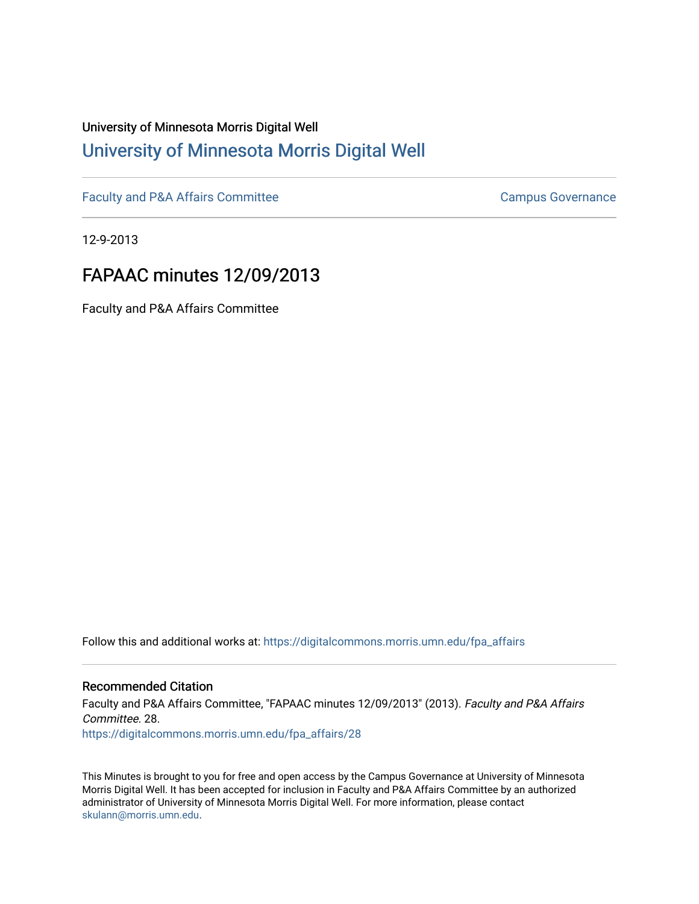## University of Minnesota Morris Digital Well [University of Minnesota Morris Digital Well](https://digitalcommons.morris.umn.edu/)

[Faculty and P&A Affairs Committee](https://digitalcommons.morris.umn.edu/fpa_affairs) [Campus Governance](https://digitalcommons.morris.umn.edu/campgov) Campus Governance

12-9-2013

## FAPAAC minutes 12/09/2013

Faculty and P&A Affairs Committee

Follow this and additional works at: [https://digitalcommons.morris.umn.edu/fpa\\_affairs](https://digitalcommons.morris.umn.edu/fpa_affairs?utm_source=digitalcommons.morris.umn.edu%2Ffpa_affairs%2F28&utm_medium=PDF&utm_campaign=PDFCoverPages)

## Recommended Citation

Faculty and P&A Affairs Committee, "FAPAAC minutes 12/09/2013" (2013). Faculty and P&A Affairs Committee. 28. [https://digitalcommons.morris.umn.edu/fpa\\_affairs/28](https://digitalcommons.morris.umn.edu/fpa_affairs/28?utm_source=digitalcommons.morris.umn.edu%2Ffpa_affairs%2F28&utm_medium=PDF&utm_campaign=PDFCoverPages) 

This Minutes is brought to you for free and open access by the Campus Governance at University of Minnesota Morris Digital Well. It has been accepted for inclusion in Faculty and P&A Affairs Committee by an authorized administrator of University of Minnesota Morris Digital Well. For more information, please contact [skulann@morris.umn.edu.](mailto:skulann@morris.umn.edu)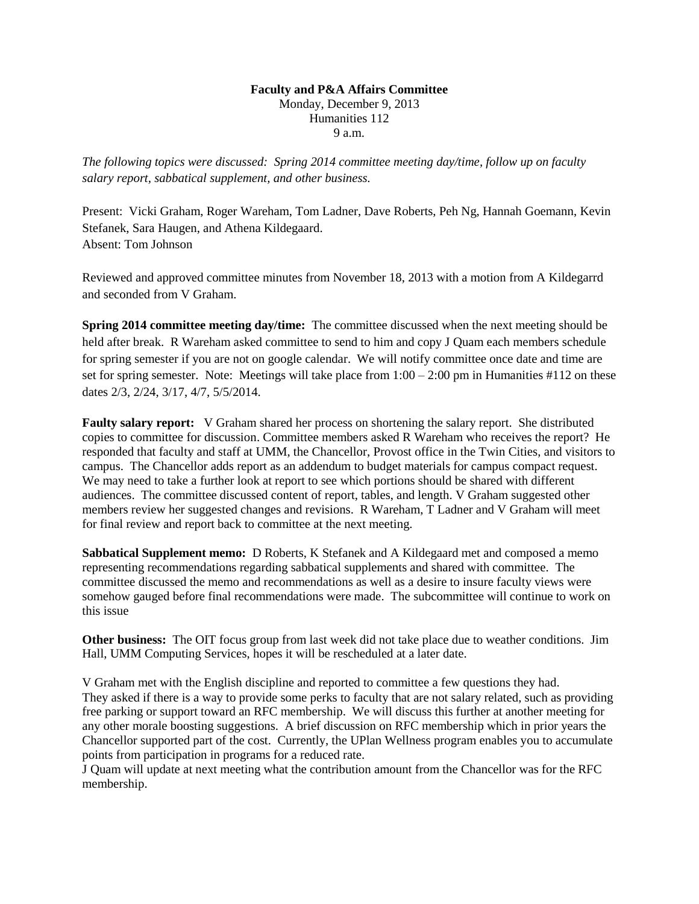## **Faculty and P&A Affairs Committee** Monday, December 9, 2013

Humanities 112 9 a.m.

*The following topics were discussed: Spring 2014 committee meeting day/time, follow up on faculty salary report, sabbatical supplement, and other business.*

Present: Vicki Graham, Roger Wareham, Tom Ladner, Dave Roberts, Peh Ng, Hannah Goemann, Kevin Stefanek, Sara Haugen, and Athena Kildegaard. Absent: Tom Johnson

Reviewed and approved committee minutes from November 18, 2013 with a motion from A Kildegarrd and seconded from V Graham.

**Spring 2014 committee meeting day/time:** The committee discussed when the next meeting should be held after break. R Wareham asked committee to send to him and copy J Quam each members schedule for spring semester if you are not on google calendar. We will notify committee once date and time are set for spring semester. Note: Meetings will take place from  $1:00 - 2:00$  pm in Humanities #112 on these dates 2/3, 2/24, 3/17, 4/7, 5/5/2014.

**Faulty salary report:** V Graham shared her process on shortening the salary report. She distributed copies to committee for discussion. Committee members asked R Wareham who receives the report? He responded that faculty and staff at UMM, the Chancellor, Provost office in the Twin Cities, and visitors to campus. The Chancellor adds report as an addendum to budget materials for campus compact request. We may need to take a further look at report to see which portions should be shared with different audiences. The committee discussed content of report, tables, and length. V Graham suggested other members review her suggested changes and revisions. R Wareham, T Ladner and V Graham will meet for final review and report back to committee at the next meeting.

**Sabbatical Supplement memo:** D Roberts, K Stefanek and A Kildegaard met and composed a memo representing recommendations regarding sabbatical supplements and shared with committee. The committee discussed the memo and recommendations as well as a desire to insure faculty views were somehow gauged before final recommendations were made. The subcommittee will continue to work on this issue

**Other business:** The OIT focus group from last week did not take place due to weather conditions. Jim Hall, UMM Computing Services, hopes it will be rescheduled at a later date.

V Graham met with the English discipline and reported to committee a few questions they had. They asked if there is a way to provide some perks to faculty that are not salary related, such as providing free parking or support toward an RFC membership. We will discuss this further at another meeting for any other morale boosting suggestions. A brief discussion on RFC membership which in prior years the Chancellor supported part of the cost. Currently, the UPlan Wellness program enables you to accumulate points from participation in programs for a reduced rate.

J Quam will update at next meeting what the contribution amount from the Chancellor was for the RFC membership.